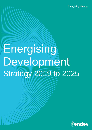# **Energising** Development Strategy 2019 to 2025

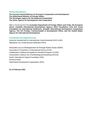#### **Partnership between**

**The German Federal Ministry for Economic Cooperation and Development The Netherlands Ministry of Foreign Affairs The Norwegian Agency for Development Cooperation The Swiss Agency for Development and Cooperation**

With co-financing from the **Australian Department of Foreign Affairs and Trade, the European Union, Icelandic International Development Agency, IKEA Foundation, Irish Aid, Korea Foundation for International Healthcare, Swedish International Development Cooperation Agency, The UK Foreign, Commonwealth & Development Office, and the United States Agency for International Development**

#### **Coordinated and implemented by**

Deutsche Gesellschaft für Internationale Zusammenarbeit (GIZ) GmbH Rijksdienst voor Ondernemend Nederland (RVO)

Association pour le Développement de l'Energie Solaire Suisse (ADES) Association of Volunteers in International Service (AVSI) Collaborative Labeling and Appliance Standard Program (CLASP) Humanistisch Instituut voor Ontwikkelingssamenwerking (HIVOS) Nordic International Support Foundation (NIS) Practical Action Netherlands Development Organisation (SNV)

**As of February 2021**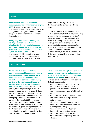#### Vision

## **Everyone has access to affordable, reliable, sustainable and modern energy in**

**2030.** To meet this ambitious target, international and national priorities need to be strengthened while global support has to be stepped up and new partnerships for scale have to be forged.

**Energising Development (EnDev) is a strategic partnership of donors to significantly deliver on building capacities for progressing on the Agenda 2030, in particular Sustainable Development Goal 7, and the Paris Agreement.** As an internationally highly recognized strategic partnership, EnDev supports developing countries in reaching their energy access

targets and in following low carbon development paths to meet their climate targets.

Donors may decide to take different roles – such as contributing to EnDev via joint funding at program level (non-earmarked and softearmarked funding) or via co-funding specific activities at country level (hard-earmarked funding) or via commissioning projects associated to the common objective of the strategic partnership (separate funding). The jointly funded EnDev program is commissioned by BMZ and implemented by GIZ in cooperation with other implementing organizations.

#### Mission statement

**Energising Development (EnDev) promotes sustainable access to modern energy services for households, micro, small and medium-sized enterprises, schools, health centres and community centres in developing countries as a means to inclusive social, economic and low carbon development.** Building on the primary focus on promoting sustainable access to modern energy services, EnDev's focuses on three impact areas (1) Energising Lives, (2) Energising Opportunities, and (3) Energising Climate. EnDev contributes to achieving the Agenda 2030, in particular Sustainable Development Goal 7, and the Paris Agreement by contributing to keeping the increase in global average temperature to 1.5°C above pre-industrial levels and by strengthening the ability of countries to deal with the impacts of climate change.

**EnDev grows and strengthens markets for modern energy services and products at scale, in particular for the poor, ensuring no one is left behind.** EnDev seeks to stimulate social and economic development. EnDev is committed to

- contribute to energy sector transitions, taking a market-based approach
- promote sustainable access to modern energy services as the means for higher level impact
- coordinate closely with local communities and stakeholders, building local and national capacity
- share lessons from implementation and learn from the work of others in the field
- support gender equality
- team up with international partners to increase its impact and relevance
- accurately account for its results
- work efficiently, transparently and costeffective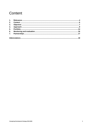# Content

| 2. |  |
|----|--|
|    |  |
|    |  |
|    |  |
| 6. |  |
|    |  |
|    |  |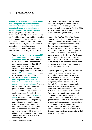## <span id="page-4-0"></span>1. Relevance

**Access to sustainable and modern energy is a prerequisite for sustainable social and economic development and thus at the core of delivering on the goals of the Agenda 2030 and the Paris Agreement.**

Without progress on Sustainable Development Goal 7 (SDG 7: Ensure access to affordable, reliable, sustainable and modern energy for all), it will not be possible to reduce poverty and foster economic development, improve public health, broaden the reach of education, or advance low carbon development. However, while meeting SDG 7 remains within reach, progress is too slow:

- Roughly **1 billion people – or about 13% of the world's population – still live without electricity.** Progress in the past years has been uneven and needs to become more widespread if the SDG7 goal of universal access to electricity is to be met by 2030. Otherwise, if current policies and population trends continue, as many as **674 million people** will continue to live without electricity in 2030.
- Also, still about **3 billion people – or about 40 percent of the world's population – do not have access to modern cooking technologies**. Progress has barely kept pace with population growth. To meet the goal of universal access by 2030, access expansion will need to accelerate. Otherwise, if the current trajectory continues, **2.3 billion people** will continue to use traditional cooking solutions in 2030, perpetuating much of the current negative health, gender, environmental, climate and development impacts. People relying on biomass for cooking or heating are exposed to serious health risks: roughly 4 million people, most of them women and children, die each year as a result of indoor air pollution.

Taking these facts into account there was a strong call for urgent concerted action to achieve access to affordable, reliable, sustainable and modern energy for all by 2030 at the *High-level Political Forum on Sustainable Development* (HLPF) in 2018.

Although the *Tracking SDG7: The Energy Progress Report* published in 2019 shows slight improvements for access to electricity, the big picture remains unchanged: Being deprived from access to modern energy services and products means spending a lot of time, money and effort on securing energy supply for basic needs. This is a hindering factor for economic development. While being oriented towards the poor and leaving no one behind, EnDev also targets the local private sector, mainly micro, small and medium-sized companies, by providing energy, electric and thermal, for productive uses.

Progressing on energy access in line with low carbon development paths and thus contributing to keeping the increase in global average temperature to 1.5°C above preindustrial levels, is at the heart of EnDev. Bringing together the objectives of SDG 7 and the Paris Agreement requires transitioning to universal energy access and delivering on targets of Nationally Determined Contributions (NDCs) in partner countries at the same time. To achieve this joint objective, an extensive yet comprehensive set of political, technical, social, and financial changes is required – globally and on country level. With its potential for decentralized, renewable energy solutions in areas that are still without access to electricity and improved cooking solutions, there is a special focus on countries in sub-Saharan Africa whilst not neglecting the global scope of the program.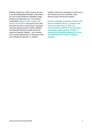Building markets for modern energy services is the prevailing global paradigm, especially in the case of decentralized renewable energy solutions for productive use. This requires substantially **higher levels of public and private investments** in the sector from what has been the case in recent years. Reaching universal energy provision needs profitable and bankable business models as well as scaled-up capacity building – with renewed, cross-sectoral approaches, to develop human and institutional capacities. In addition,

solutions need to be developed to reach out to the extreme poor and vulnerable, living beyond purely commercial markets.

**EnDev's strategic orientation is fully in line with the political call for a stronger push towards progressing on SDG 7 by harnessing the potential of decentralized renewable energy solutions. EnDev's learning and innovation agenda fits to the international call to scale up capacity building.**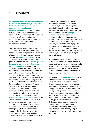## <span id="page-6-0"></span>2. Context

**Currently financed by the governments of Germany, the Netherlands, Norway, and Switzerland, EnDev is a strategic partnership on funding and implementation level**. EnDev promotes the provision of access to modern energy services that meet the needs of the poor, are long lasting, efficient and effective, affordable, appreciated by users, and create positive economic, social and/or environmental impacts.

Since its initiation, EnDev has become the internationally most renowned technical assistance program to promote the provision of access to sustainable energy. Its robustly monitored **result-orientation** and strong commitment to achieve quantified global goals in combination with an **on-the-ground technical expertise and performancebased approach** makes EnDev unique. One of EnDev's strengths is being close to the needs of the beneficiaries with a bottom-up approach of building markets. Taking impacts and the end users' perspective as the basis for its interventions, EnDev pushes for a continuous increase of energy service levels (according to the multi-tier framework for measuring energy access). This was recognized in 2018 by UN DESA in the context of the review of SDG 7. While striving for attributable results on the ground and in order to scale up, in the current strategy phase EnDev will expand its **transformational ambitions** by encouraging its implementers to make use of EnDev's unique sector position in many partner countries to more prominently engage in strategic energy sector dialogue. As a consequence, EnDev's interventions regarding the development of specific policies and regulations and building institutional capacities will intensify – also by

systematically partnering with other development partners and programs at country level, focusing on energy access for households as well as micro, small and medium-sized enterprises. EnDev will also need to engage more in **strategic partnerships** for developing and implementing integrated approaches in support of energy transitions on country level – including a stronger collaboration for advocacy as well as for teaming up with complementary initiatives and programs focusing on access to finance to help businesses grow, become bankable, and tap resources, thus contributing to bringing markets to scale.

EnDev targets for fast scale-up of successful activities and flexible allocation of funds in response to performance measurements. In new countries, the program initially funds only start-up phases with limited budget. Provided approaches demonstrate results, they may be scaled up.

<span id="page-6-1"></span>EnDev has a **bottom-up approach**. In line with donor as well as partner priorities. EnDev identifies energy service needs through baseline studies, market analysis, and dialogues with relevant stakeholders. It is supporting activities of practitioners and energy service providers on the ground through close cooperation with stakeholders on micro and meso level, cooperating with a broad variety of organisations from public sector, private sector and civil society. EnDev seeks to choose the most efficient institutions in partner countries for cooperation. Additionally, EnDev country projects actively seek to carry out joint interventions with a variety of implementing organisations.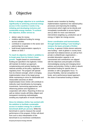## 3. Objective

**EnDev's strategic objective is to contribute significantly to achieving universal energy access in the countries it works in by initiating and developing inclusive and sustainable energy markets. To achieve this objective, EnDev strives to:**

- deliver value for money
- mobilize additional funding for energy access activities
- contribute to cooperation in the sector and partnerships for scale
- build broad implementation capacity to deliver on SDG 7

#### **To reach its objective, EnDev's ambition is to break away from its historic linear**

**growth.** Targets based on commissioned funding are specified in the logframe. EnDev will maintain its bottom-up approach, complementing and actively feeding into national activities at the policy, legislative, and regulatory level. The program will operate from its inherent strength, which is bringing implementation close to the target group. While maintaining to strive for attributable and measurable outcomes on direct implementation level, EnDev will contribute to indirectly reach beneficiaries by leveraging investments, harmonizing approaches, and influencing policies and regulations in cooperation with others. Reporting of direct as well as indirect results will follow diligent and transparent monitoring methodologies, avoiding any duplication of results reporting.

**Since its initiation, EnDev has worked with the ambition to facilitate sustainable access to modern energy for a defined benchmark (EUR per person)**. While this benchmark is used to measure the overall performance of the program, EnDev will divert from such a strict interpretation of the benchmark to (1) incentivize contributions

towards sector transition by feeding implementation experience into national policy processes and improving the enabling environment which might not be directly and immediately transferable to access figures and (2) allow for more cost-intensive interventions targeting e.g. productive use of energy or higher tier energy access.

**Donor coordination and harmonization through basket funding ("core funding") remains the basic principle of EnDev** 

**funding**. In general, EnDev donors welcome new funding – both at global or country level, and both from bilateral donors as well as from private or philanthropic organizations –, provided absorption capacity is not overstrained and contributions are aligned with the objectives and principles of EnDev. Acknowledging varying and changing donor policies and priorities, EnDev is able to absorb earmarked funding for specific lines of activities or with a geographic focus. To ensure flexibility, internal competition for funds, and a performance-based approach, the share of earmarked funding is limited.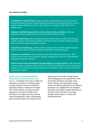#### **Key features of EnDev**

**Contribution to Agenda 2030**: positioning EnDev internationally as the most renowned technical assistance program supporting partner countries in reaching their energy access targets and thus delivering on SDG 7 with concrete co-benefits for other SDGs of the Agenda 2030.

**Alignment with Paris Agreement as well as donors' policy priorities**: delivering particularly on NDC targets as well as on donor-specific policy priorities

**Strategic positioning**: balancing approaches for transformational change with delivering tangible results in decentralized renewable electrification and in modern cooking solutions with a transitional approach towards e-cooking

**Innovation and scaling up**: pushing EnDev's energy access innovation agenda together with the private sector and forge strategic partnerships for scale and impact

**Emphasis on inclusion**: keep reaching poor and vulnerable population groups, with a specific focus on women and including refugees, including the roll-out of a comprehensive safeguard and gender approach

**Social and economic development through higher tier energy services**: while remaining inclusive, taking a consumer-centric approach in line with beneficiaries needs to increase the ambition level of outcomes in energy services that contribute to higher economic and social development impacts

### **EnDev aims at a balanced portfolio reflecting the diverse priorities of its**

**donors**. A transition from lower to higher tier electricity is promoted. Promoting modern cooking solutions includes a transitional approach towards e-cooking in the longer term. EnDev follows a consumer-centric approach in line with the needs of the beneficiaries to trigger economic and low carbon development. EnDev will gradually gear up towards higher tier energy access,

depending on the needs of target groups, acknowledging that such approaches come with longer lead times and higher costs. EnDev will spur and mainstream energy access innovations particularly in the fields of productive use, digitalization and migration, and share its learnings broadly with others in the field. EnDev will reach out to forge strategic partnerships on country and international level.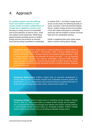## <span id="page-9-0"></span>4. Approach

**As a global program and with differing sector and market conditions in each country, EnDev provides a global theory of change that is adapted at country level**,

focusing on energy access for households and social institutions as well as micro, small and medium-sized enterprises. While being geared towards providing access to modern energy services and products at outcome level and thus being committed to contributing to achieve SDG 7, for EnDev energy access serves as the means for delivering broadly on social, economic, and environmental impacts. Hence, modern energy services are provided in line with needs and based on renewable resources with the ambition to phase out fossil fuels and non-sustainable biomass.

EnDev is targeting three main impact areas where it strives to bring about change:

**Energising Lives**: EnDev's impact area on social development is directly linked to leaving no one behind and SDG 1 "End poverty", SDG 3 "Ensure healthy lives and promote well-being", SDG 4 "Ensure inclusive and equitable quality education", SDG 5 "Achieve gender equality and empower all women and girls" – e.g. by improved household income situation and reduced vulnerability, improved health through reduced indoor air pollution or improved service quality of health centers and clinics, better learning environment through electrified schools in off-grid rural areas, improved gender equality, etc.

**Energising Opportunities**: EnDev's impact area on economic development is directly linked to SDG 8 "Promote inclusive and sustainable economic growth and employment" – e.g. by strengthened rural economic activity by targeted promotion of productive use of energy along value chains, improved job creation, etc.

**Energising Climate**: EnDev's impact area on combating climate change is directly linked to SDG 13 "Take urgent action to combat climate change and its impacts" – e.g. by reduced GHG emissions through more efficient and cleaner cooking solutions or decentralized off-grid solutions based on renewable energies. EnDev's climate impacts build on the primary focus on providing sustainable energy access.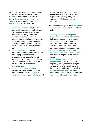Although EnDev's methodological approach largely depends on the specific country contexts of implementation, EnDev in its theory of change generally builds on a systematic understanding of a **trifold set of barriers**, including but not limited to:

- **Supply side support** along the value chain (building entrepreneurial skills and competences; strengthening business models; introducing good business practices like quality and financial management; supporting product/service innovations; strengthening distribution systems; supporting marketing activities; facilitating access to corporate finance; etc.)
- **Demand side support** (raising awareness; supporting behavioral change; encouraging purchase of new products/services; strengthening aftersales-services; promoting productive use; supporting fee-for-service approaches; facilitating access to finance for consumers; etc.)
- **Enabling environment support** (introducing quality control of products based on norms and standards, incl. warranty schemes; improving tax and tariff

regimes; promoting associations of entrepreneurs; simplifying (business) regulations; improving safety net approaches with targeted transfer schemes; etc.)

These barriers are targeted by **an integrated set of key interventions**, including (but not limited to):

- **Training, business development, hardware**: technical/business capacity building, equipment and in-kind support
- **Access to finance**: results-based financing with combined technical assistance, business development services and support to reach bankability
- **Evidence, learning transfer and innovation**: data collection and analysis, knowledge management and innovation support
- **Policy advice and capacity development**: strategic, policy, and regulatory advice, capacity building for conducive framework conditions and implementation of lessons from the field
- **Partnerships and alliances**: multistakeholder collaboration, at country level and through international advocacy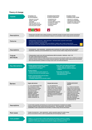#### **Theory of changeEnergising Climate Energising Lives Energising Opportunities** Impacts Social development **Economic development** Combating climate change • improved HH income · strengthened rural · reduced GHG emissions situation, reduced economic activity · reduced forest degradation strengthened climate change increased SME productivity vulnerability • improved health (HH,SI) · increased job creation resilience of beneficiaries • better learning environment · increased resource · improved gender equality mobilization  $\sum_{i=1}^{13}$  $\overline{M}$ M Private sector and public actors continue investing to expand the provision of modern energy services and products Assumptions · Households, businesses, and social institutions continue to use and replace modern energy services and products • Professionalized commercial or - where appropriate - dedicated publicly supported market growth Outcome for modern energy services and products Enhanced households', businesses', and social institutions' adoption rate of modern energy services and products across larger geographic areas and across larger modern energy services and products portfolio · Commercial and - where appropriate - sustainable public investments into modern energy services and products Assumptions - Households, businesses, and social institutions buy or invest in and use modern energy services and products . Professionalized market actors with technical/business skills for production, distribution, retail, O+M Outputs for modern energy services and products and results · Scalable business models for modern energy services and products and respective market actors mobilizing investments · Improved consumer awareness and increased consumer demand for high-quality modern energy services and products • More favorable framework conditions for energy access sector and market development Training, business development, hardware Policy advice and capacity development **Key interventions** · Technical/business capacity building · Strategic, policy, and regulatory advice • Equipment and in-kind support • Capacity building for conducive framework conditions **Access to finance** • Results-based financing with combined TA **Partnerships and alliances** • Financial instruments and bankability support • Multi-stakeholder collaboration · International advocacy Evidence, learning transfer and innovation • Data collection and analysis • Knowledge management and innovation support **Enabling environment** Supply side barriers **Demand side barriers Barriers barriers** e.g.: poor entrepreneurial skills e.g.: low awareness for e.g.: limited norm/standard and competences; limited disadvantages/risks of tradtional business practices for quality energy services; limited adaptive setting and low enforcement leading to low product quality: and financial management: potential for behavioural change: insufficient warranty schemes: low product/service low purchasing power for new unfavorable tax and tariff innovations; insufficient products/services: untapped regimes; low level of private distribution systems: potential for promoting productive use; limited access to consumer sector organization and limited scalable business models: limited ability to advocacy via associations; finance: etc. poor policy framework; mobilize investments: etc. limited/unsustainable safety net approaches; etc. Current limited capacities and financing do not permit fast development of bankable and scalable Assumptions business models for modern energy services and products or - where appropriate - current limited sustainability of public approaches for the promotion of modern energy services and products Growth of commercial or - where appropriate - publicly supported markets for modern energy Root cause serivces and products is slow as well as geographically and technologically confined Limited (i.e. no or low) access to modern energy services and products continues to constitute a significant limitation for social and economic development and contributes to greenhouse gas emissions in EnDev partner count Core problem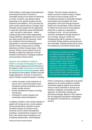EnDev follows a technology-neutral approach, promoting the provision of access to renewable energy as the means for delivering on social, economic, and climate impacts depending on the specific situation and the respective preconditions. This is the basis for every country-specific theory of change. Each individual country project has the opportunity to select the intervention areas (electrification – grid, mini-grid or stand-alone – and/or cooking energy and/or (where appropriate) energy efficiency), geographic focus (rural and peri-urban areas) and the measures, which are considered most promising and appropriate to overcome main blockages to provide modern energy services, thereby delivering on EnDev's impact areas. In this process, EnDev country projects have the flexibility to adapt their approach and their activities continuously to changing conditions and according to lessons learnt.

#### **However, this flexibility is linked to EnDev's concept of managing for results.**

EnDev country projects are and will remain to be subject to clear **performance criteria** and a **comprehensive monitoring** process, which are decisive for the projects' durations and the budget allocations. Success is measured in terms of EnDev's results framework, including:

- number of people, social institutions as well as micro, small and medium-sized enterprises gaining sustainable access to modern energy services
- broader development impacts of energy interventions
- contribution to sector transition and sustainable market development

In addition to EnDev's main results indicator of people with energy access, country projects will be prioritized that contribute to sector transitions towards an inclusive social, economic and low carbon development, providing a comprehensive response in the three main impact areas Energising Lives, Energising Opportunities, and Energising

Climate. This also includes activities to achieve access to modern energy on higher tier levels as well as energy access on municipal level based on renewable energies, and activities that strengthen the social participation of the poor through improved health care and education. EnDev will push for higher tier levels and tier level progress where this is opportune, especially to contribute to rural – but not exclusively – economic development through productive use of energy. Doing so, EnDev will simultaneously fulfil its mandate to leave no one behind, finding solutions serving the poor and vulnerable, including solutions that cannot be sustained by commercial markets alone.

Throughout its portfolio and reflected in its results framework, EnDev will strengthen its gender approach, in cooperation with specialized partners to actively support women taking key positions in the energy access or productive value chain, in addition to improving the situation of women and girls as beneficiaries of energy access in terms of better health, reduced drudgery, and improved information and education.

EnDev is introducing a safeguards and gender approach for all country projects to identify unintended negative impacts (and external risks) as well as potentials to actively work towards a safeguard- and gender-sensitive approach, so that EnDev activities are planned accordingly. Based on GIZ's state-ofthe-art safeguards and gender methodology, the approach is introduced as a mandatory process.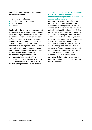EnDev's approach comprises the following safeguard categories:

- Environment and climate
- Conflict and context sensitivity
- Human rights
- **Gender**

Particularly in the context of the promotion of stand-alone (solar) systems but also beyond these technologies more broadly, EnDev has the ambition to work towards safe disposal of deficient or discarded systems to reduce the risk of environmental hazards of electronic waste. In the long-term, EnDev should contribute to recycling approaches and a more responsible value chain. However, in many EnDev partner countries there are no viable business models today due to low environmental regulation and/or low enforcement of this regulation. Where appropriate, EnDev shall pro-actively reach out to other programs in this field to work towards synergies in order to reduce risks.

#### **On implementation level, EnDev continues to operate through a number of implementers with proven track record and implementation capacity**. These

organisations receiving EnDev funds, take responsibility for the implementation of components or entire projects. EnDev will further strengthen the integrated partnership and collaboration with implementers. EnDev will gradually and competitively increase the share of its partner organisations, and bring balance in the portfolio, particularly for new countries and for countries or components up for renewal. Final responsibility for the component or country project is with GIZ as financial management lead of EnDev. GIZ standards for fiduciary, project, and contract management will be applied as well as GIZ standards on implementation, quality assurance, and EnDev standards on monitoring. Global monitoring and reporting to donors is coordinated by GIZ, including joint progress reporting.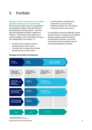## <span id="page-14-0"></span>5. Portfolio

#### **Starting in 2018, a mechanism for a regular portfolio review has been established.**

Result of this portfolio review is a quantitative and qualitative analysis of the performance and potential of country projects – and how they will contribute to EnDev's targets and ambition. The portfolio review feeds into a recommendation to the Consultative Group on the categorization of countries, i.e.:

- Countries with a long-term EnDev involvement (up to four years)
- Countries with a medium-term EnDev involvement (up to three years)
- Countries with an ending EnDev involvement (up to one year)
- Potential countries for a new EnDev involvement (up to three years)

It is important to note that although countryspecific theories of change and conceptual indicative planning spans the abovementioned time horizons, any formal commitment cannot exceed the formal commissioning phases of EnDev.



#### **Strategy and portfolio development**

<sup>1</sup>Comprehensive portfolio review in 2018

<sup>2</sup> Periodical annual portfolio review during phases

**Energising Development Strategy 2019-2025 14**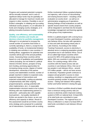Progress and sustained potential in projects will be annually reviewed, and in case of significant delays funds may be (partially) reallocated to manage for maximum results and impacts in other countries. Flexibility is one of EnDev's strengths: In initiating and up-scaling individual country projects, in a re-allocation of funds and changing country strategies, or in piloting innovative business models.

#### **Quality, cost efficiency, and sustainability of EnDev's activities and results are decisive criteria for portfolio management**.

Although it is not planned to increase the overall number of countries that EnDev is currently operating in, there is, except for the availability of funds, no fundamental limitation in initiating new activities in new countries. If funding allows, suggestions for potential new countries will be part of the annual portfolio review. Assessing these countries will be based on a set of qualitative and quantitative criteria (including, but not limited to: political interest of EnDev donors, prospect of long term funding, promising opportunities for increasing energy access, degree of market development, ownership of the partner country and stakeholders involved, number of people reached in relation to expected costs, expected impact of interventions and expected sustainability, scaling-up potential, complementarity with other ongoing programs/projects, synergy potential with other implementers, etc.). A reasonable implementation structure needs to be in place. Working with new implementing partners is welcomed – particularly also with capable local partners – but quality standards of EnDev are pivotal in the choice, as are cost efficiency and capacity to deliver. Result of this assessment would be an EnDev country entry strategy and a proposal for a potential set of interventions. Countries with an ending

EnDev involvement follow a gradual phasingout trajectory, with a focus on documenting and sharing lessons learnt – including a final evaluation at country level – as well as on administrative wrapping up of operations. Sharing findings of final evaluations as well as specific lessons learnt from country projects, will be integrated in and feed into the broader knowledge management and learning agenda of the group of key implementers.

EnDev is a global program with a strong focus on Least Developed Countries, particularly in sub-Saharan Africa, but also with operations in Asia and (with decreasing extent) also in Latin America. According to the Global Tracking Framework, access to electricity in absolute terms is outpacing population growth everywhere but in sub-Saharan Africa. Out of 20 so-called high-impact countries which account for 80% of the global energy access deficit, 80% are countries in sub-Saharan Africa. For cooking energy, 80% of the countries with the lowest access rate are countries in sub-Saharan Africa. One out of two people in sub-Saharan Africa – around 570 million people – still do not have access to electricity. Population growth continues to outpace annual growth in access to clean cooking, resulting in a stagnating and in some countries growing number of people without access – risking sub-Saharan Africa getting further and further behind in closing this gap.

Countries in EnDev's portfolio should at least have a minimum energy poverty ratio (no access to electricity and/or improved cooking system) of 30% on national level. At least 60% of its total funds are committed to Least Developed Countries. The regional focus on Africa is reflected in a share of at least 60% of total funds committed to sub-Saharan African countries.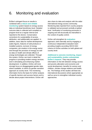# <span id="page-16-0"></span>6. Monitoring and evaluation

EnDev's stringent focus on results is combined with a **robust and reliable monitoring** system based on energy access data on individual beneficiary level. Detailed outcome data is collected and compiled on program level at a regular interval and reported to the donors. Conservative corrections for sustainability of access, attribution, and additionality are applied. In addition, basic data for market development (sales figures, features of sold products or installed systems, turnover of energy companies, job creation in the energy sector and through the provision of energy) as well as data on health and climate effects of energy technologies are collected. Through this system, EnDev can track in detail the progress in providing modern energy services and in stimulating and enhancing market development. In addition, EnDev will more strongly focus on disaggregated gender data, where available, to inform its gender-sensitive approach at country level. The monitoring information forms the basis for further analysis of specific barriers and success factors and to decide about project interventions. EnDev will

also share its data and analysis with the wider international energy access community. Monitoring data reported from country projects is validated and processed centrally at global level. Verification of monitoring processes is ongoing and will structurally be intensified in the context of quality control.

EnDev will strengthen its **evaluation** approach, both internally and by engaging a continuous independent evaluation team providing insights according OECD-DAC criteria on EnDev activities on both global and country level.

**Additional to outcome monitoring, impact and sustainability studies substantiate EnDev's impacts**. They may provide information on the link between energy access and poverty alleviation and economic and social development, benefits for women and children, climate change relations and health, etc. The findings of the studies will feed into international discussions where appropriate as well as serve to strengthen individual country approaches.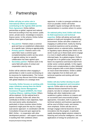## <span id="page-17-0"></span>7. Partnerships

#### **EnDev will play an active role in international efforts and initiatives contributing to the Agenda 2030 and the Paris Agreement**. EnDev defines partnerships at global, regional and national level and according to four key sectors: public sector, private sector, knowledge & research, finance sector. In this scheme, EnDev further defines three types of partners:

- **Key partner**: Partners share a common goal and have an established collaboration on a specific topic / driving an agenda jointly.
- **Primary partner**: Partners work in the same field, have a common goal (complementarities) and/or are key actors in agenda setting, but no specific collaboration has been agreed upon.
- **Secondary partner**: Partners work in the same field with points of contact and cooperation case by case.

EnDev will be selective when engaging in partnerships in order to avoid overdrawing on its resources for implementation. The Consultative Group may discuss how EnDev engages with global initiatives on a strategic level.

**Currently, EnDev focuses on working with major initiatives among them the World Bank / Energy Sector Management Assistance Program (ESMAP), the Clean Cooking Alliance, Lighting Global**. Others will be explored. On the national level in partner countries, EnDev will, where this contributes to EnDev's main objectives, feed into (sub-)sector policy development, particularly in those countries where EnDev experience might pave the way for a larger (sub-)sector approach. In coordination with the Consultative Group and upon approval by BMZ, EnDev – in cooperation with other development partners – will support countries in tackling their NDC ambitions where

opportune. In order to synergize activities as much as possible, EnDev will further strengthen regular exchange with the donor representatives in countries where it is active.

#### **On national policy level, EnDev will share its field experiences and technical**

**expertise**. EnDev will advise and work with partners to build and strengthen the enabling environment. EnDev will strike a balance on engaging on political level, mainly by sharing its practical experience and by providing targeted advice on selected policy, legislative, or regulatory topics allowing also others in the sector to pick up on these leads and to engage in a more in-depth political dialogue on an informed basis. As a global program, EnDev's strength lies in its global scope, being able to feed in its experience and lessons learnt from similar sector contexts globally. In this regard, EnDev work complementary to other (bilateral) sector programs with a more distinct mandate on macro-level interventions. EnDev's added value originates from its field work and technical expertise and working with local institutions.

## **EnDev will also further develop its joint knowledge management and innovation**

**agenda.** EnDev aims to not only capture collective lessons learned from its own projects, but also to compare and share its findings with other implementers and academia to gather evidence on impacts and on successful (and unsuccessful) project approaches. Innovation, both in pursue of technical solutions and business approaches, will be core to EnDev's work, and receive more emphasis. EnDev will also aim to stronger engage external (business driven) innovations into the program, in particular rapidly developing digital solutions related to financing and consumer intelligence, and new applications of energy for productive use.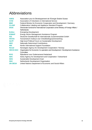# <span id="page-18-0"></span>Abbreviations

| <b>ADES</b>     | Association pour le Développement de l'Energie Solaire Suisse                          |
|-----------------|----------------------------------------------------------------------------------------|
| <b>AVSI</b>     | Association of Volunteers in International Service                                     |
| <b>BMZ</b>      | Federal Ministry for Economic Cooperation and Development / Germany                    |
| <b>CLASP</b>    | Collaborative Labeling and Appliance Standard Program                                  |
| <b>DGIS</b>     | Directorate-General for International Cooperation at the Ministry of Foreign Affairs / |
|                 | <b>Netherlands</b>                                                                     |
| <b>EnDev</b>    | <b>Energising Development</b>                                                          |
| <b>ESMAP</b>    | Energy Sector Management Assistance Program                                            |
| <b>GIZ</b>      | Deutsche Gesellschaft für Internationale Zusammenarbeit GmbH                           |
| <b>HIVOS</b>    | Humanistisch Instituut voor Ontwikkelingssamenwerking                                  |
| <b>HLPF</b>     | High-level Political Forum on Sustainable Development                                  |
| <b>NDC</b>      | <b>Nationally Determined Contributions</b>                                             |
| <b>NIS</b>      | Nordic International Support Foundation                                                |
| <b>Norad</b>    | Norwegian Agency for Development Cooperation / Norway                                  |
| <b>OECD-DAC</b> | Organisation for Economic Co-operation and Development / Development Assistance        |
|                 | Committee                                                                              |
| <b>RVO</b>      | Rijksdienst voor Ondernemend Nederland                                                 |
| <b>SDC</b>      | Swiss Agency for Development and Cooperation / Switzerland                             |
| <b>SDG</b>      | Sustainable Development Goal                                                           |
| <b>SNV</b>      | Netherlands Development Organisation                                                   |
| <b>UN DESA</b>  | United Nations Department of Economic and Social Affairs                               |